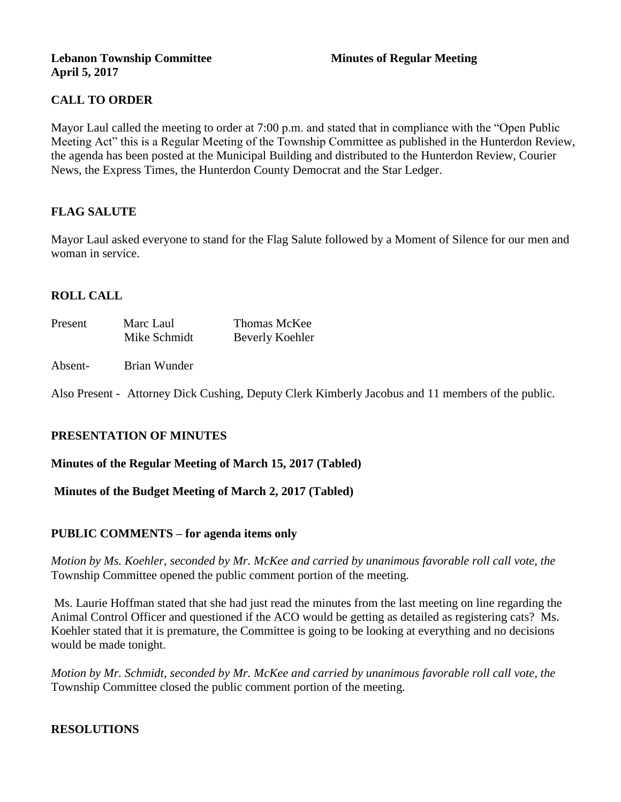#### **Lebanon Township Committee 3 2008 Minutes of Regular Meeting April 5, 2017**

## **CALL TO ORDER**

Mayor Laul called the meeting to order at 7:00 p.m. and stated that in compliance with the "Open Public Meeting Act" this is a Regular Meeting of the Township Committee as published in the Hunterdon Review, the agenda has been posted at the Municipal Building and distributed to the Hunterdon Review, Courier News, the Express Times, the Hunterdon County Democrat and the Star Ledger.

## **FLAG SALUTE**

Mayor Laul asked everyone to stand for the Flag Salute followed by a Moment of Silence for our men and woman in service.

## **ROLL CALL**

| Present | Marc Laul    | Thomas McKee    |
|---------|--------------|-----------------|
|         | Mike Schmidt | Beverly Koehler |

#### Absent- Brian Wunder

Also Present - Attorney Dick Cushing, Deputy Clerk Kimberly Jacobus and 11 members of the public.

## **PRESENTATION OF MINUTES**

**Minutes of the Regular Meeting of March 15, 2017 (Tabled)**

**Minutes of the Budget Meeting of March 2, 2017 (Tabled)**

## **PUBLIC COMMENTS – for agenda items only**

*Motion by Ms. Koehler, seconded by Mr. McKee and carried by unanimous favorable roll call vote, the*  Township Committee opened the public comment portion of the meeting.

Ms. Laurie Hoffman stated that she had just read the minutes from the last meeting on line regarding the Animal Control Officer and questioned if the ACO would be getting as detailed as registering cats? Ms. Koehler stated that it is premature, the Committee is going to be looking at everything and no decisions would be made tonight.

*Motion by Mr. Schmidt, seconded by Mr. McKee and carried by unanimous favorable roll call vote, the*  Township Committee closed the public comment portion of the meeting.

## **RESOLUTIONS**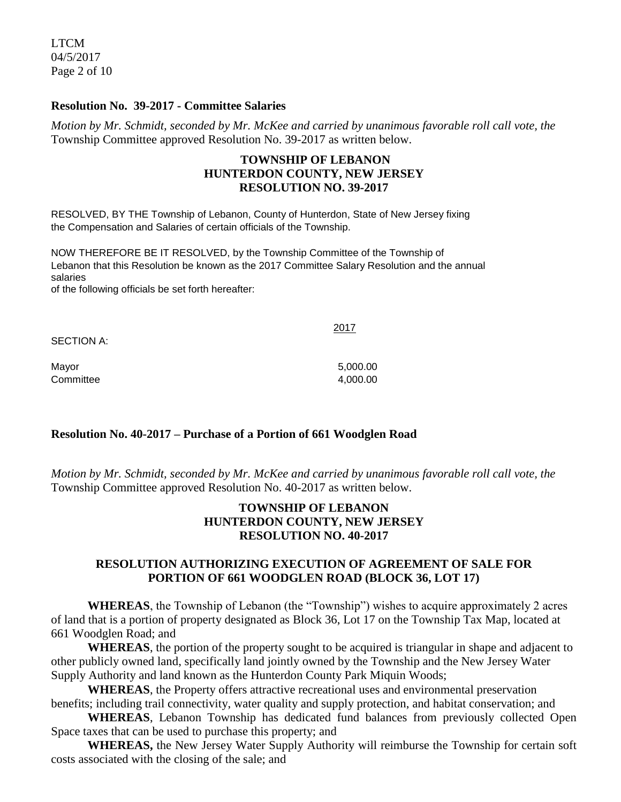LTCM 04/5/2017 Page 2 of 10

#### **Resolution No. 39-2017 - Committee Salaries**

*Motion by Mr. Schmidt, seconded by Mr. McKee and carried by unanimous favorable roll call vote, the* Township Committee approved Resolution No. 39-2017 as written below.

#### **TOWNSHIP OF LEBANON HUNTERDON COUNTY, NEW JERSEY RESOLUTION NO. 39-2017**

RESOLVED, BY THE Township of Lebanon, County of Hunterdon, State of New Jersey fixing the Compensation and Salaries of certain officials of the Township.

NOW THEREFORE BE IT RESOLVED, by the Township Committee of the Township of Lebanon that this Resolution be known as the 2017 Committee Salary Resolution and the annual salaries

of the following officials be set forth hereafter:

| SECTION A: | 2017     |
|------------|----------|
| Mayor      | 5,000.00 |
| Committee  | 4,000.00 |

#### **Resolution No. 40-2017 – Purchase of a Portion of 661 Woodglen Road**

*Motion by Mr. Schmidt, seconded by Mr. McKee and carried by unanimous favorable roll call vote, the* Township Committee approved Resolution No. 40-2017 as written below.

#### **TOWNSHIP OF LEBANON HUNTERDON COUNTY, NEW JERSEY RESOLUTION NO. 40-2017**

#### **RESOLUTION AUTHORIZING EXECUTION OF AGREEMENT OF SALE FOR PORTION OF 661 WOODGLEN ROAD (BLOCK 36, LOT 17)**

**WHEREAS**, the Township of Lebanon (the "Township") wishes to acquire approximately 2 acres of land that is a portion of property designated as Block 36, Lot 17 on the Township Tax Map, located at 661 Woodglen Road; and

**WHEREAS**, the portion of the property sought to be acquired is triangular in shape and adjacent to other publicly owned land, specifically land jointly owned by the Township and the New Jersey Water Supply Authority and land known as the Hunterdon County Park Miquin Woods;

**WHEREAS**, the Property offers attractive recreational uses and environmental preservation benefits; including trail connectivity, water quality and supply protection, and habitat conservation; and

**WHEREAS**, Lebanon Township has dedicated fund balances from previously collected Open Space taxes that can be used to purchase this property; and

**WHEREAS,** the New Jersey Water Supply Authority will reimburse the Township for certain soft costs associated with the closing of the sale; and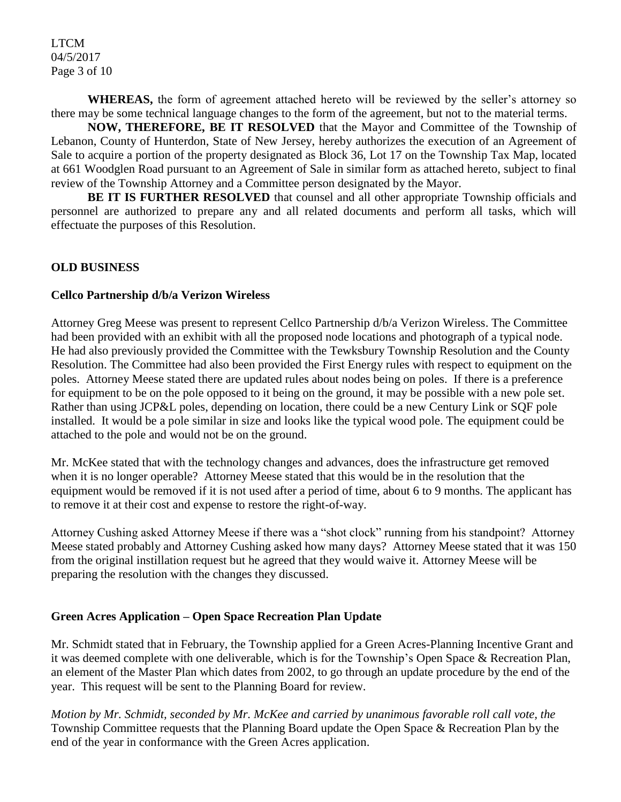LTCM 04/5/2017 Page 3 of 10

**WHEREAS,** the form of agreement attached hereto will be reviewed by the seller's attorney so there may be some technical language changes to the form of the agreement, but not to the material terms.

**NOW, THEREFORE, BE IT RESOLVED** that the Mayor and Committee of the Township of Lebanon, County of Hunterdon, State of New Jersey, hereby authorizes the execution of an Agreement of Sale to acquire a portion of the property designated as Block 36, Lot 17 on the Township Tax Map, located at 661 Woodglen Road pursuant to an Agreement of Sale in similar form as attached hereto, subject to final review of the Township Attorney and a Committee person designated by the Mayor.

**BE IT IS FURTHER RESOLVED** that counsel and all other appropriate Township officials and personnel are authorized to prepare any and all related documents and perform all tasks, which will effectuate the purposes of this Resolution.

#### **OLD BUSINESS**

#### **Cellco Partnership d/b/a Verizon Wireless**

Attorney Greg Meese was present to represent Cellco Partnership d/b/a Verizon Wireless. The Committee had been provided with an exhibit with all the proposed node locations and photograph of a typical node. He had also previously provided the Committee with the Tewksbury Township Resolution and the County Resolution. The Committee had also been provided the First Energy rules with respect to equipment on the poles. Attorney Meese stated there are updated rules about nodes being on poles. If there is a preference for equipment to be on the pole opposed to it being on the ground, it may be possible with a new pole set. Rather than using JCP&L poles, depending on location, there could be a new Century Link or SQF pole installed. It would be a pole similar in size and looks like the typical wood pole. The equipment could be attached to the pole and would not be on the ground.

Mr. McKee stated that with the technology changes and advances, does the infrastructure get removed when it is no longer operable? Attorney Meese stated that this would be in the resolution that the equipment would be removed if it is not used after a period of time, about 6 to 9 months. The applicant has to remove it at their cost and expense to restore the right-of-way.

Attorney Cushing asked Attorney Meese if there was a "shot clock" running from his standpoint? Attorney Meese stated probably and Attorney Cushing asked how many days? Attorney Meese stated that it was 150 from the original instillation request but he agreed that they would waive it. Attorney Meese will be preparing the resolution with the changes they discussed.

## **Green Acres Application – Open Space Recreation Plan Update**

Mr. Schmidt stated that in February, the Township applied for a Green Acres-Planning Incentive Grant and it was deemed complete with one deliverable, which is for the Township's Open Space & Recreation Plan, an element of the Master Plan which dates from 2002, to go through an update procedure by the end of the year. This request will be sent to the Planning Board for review.

*Motion by Mr. Schmidt, seconded by Mr. McKee and carried by unanimous favorable roll call vote, the* Township Committee requests that the Planning Board update the Open Space & Recreation Plan by the end of the year in conformance with the Green Acres application.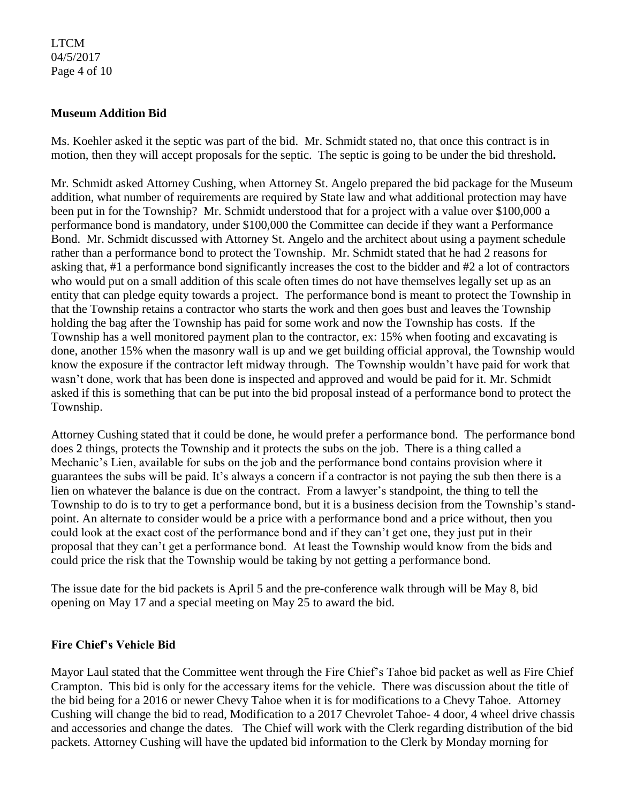#### LTCM 04/5/2017 Page 4 of 10

#### **Museum Addition Bid**

Ms. Koehler asked it the septic was part of the bid. Mr. Schmidt stated no, that once this contract is in motion, then they will accept proposals for the septic. The septic is going to be under the bid threshold**.** 

Mr. Schmidt asked Attorney Cushing, when Attorney St. Angelo prepared the bid package for the Museum addition, what number of requirements are required by State law and what additional protection may have been put in for the Township? Mr. Schmidt understood that for a project with a value over \$100,000 a performance bond is mandatory, under \$100,000 the Committee can decide if they want a Performance Bond. Mr. Schmidt discussed with Attorney St. Angelo and the architect about using a payment schedule rather than a performance bond to protect the Township. Mr. Schmidt stated that he had 2 reasons for asking that, #1 a performance bond significantly increases the cost to the bidder and #2 a lot of contractors who would put on a small addition of this scale often times do not have themselves legally set up as an entity that can pledge equity towards a project. The performance bond is meant to protect the Township in that the Township retains a contractor who starts the work and then goes bust and leaves the Township holding the bag after the Township has paid for some work and now the Township has costs. If the Township has a well monitored payment plan to the contractor, ex: 15% when footing and excavating is done, another 15% when the masonry wall is up and we get building official approval, the Township would know the exposure if the contractor left midway through. The Township wouldn't have paid for work that wasn't done, work that has been done is inspected and approved and would be paid for it. Mr. Schmidt asked if this is something that can be put into the bid proposal instead of a performance bond to protect the Township.

Attorney Cushing stated that it could be done, he would prefer a performance bond. The performance bond does 2 things, protects the Township and it protects the subs on the job. There is a thing called a Mechanic's Lien, available for subs on the job and the performance bond contains provision where it guarantees the subs will be paid. It's always a concern if a contractor is not paying the sub then there is a lien on whatever the balance is due on the contract. From a lawyer's standpoint, the thing to tell the Township to do is to try to get a performance bond, but it is a business decision from the Township's standpoint. An alternate to consider would be a price with a performance bond and a price without, then you could look at the exact cost of the performance bond and if they can't get one, they just put in their proposal that they can't get a performance bond. At least the Township would know from the bids and could price the risk that the Township would be taking by not getting a performance bond.

The issue date for the bid packets is April 5 and the pre-conference walk through will be May 8, bid opening on May 17 and a special meeting on May 25 to award the bid.

#### **Fire Chief's Vehicle Bid**

Mayor Laul stated that the Committee went through the Fire Chief's Tahoe bid packet as well as Fire Chief Crampton. This bid is only for the accessary items for the vehicle. There was discussion about the title of the bid being for a 2016 or newer Chevy Tahoe when it is for modifications to a Chevy Tahoe. Attorney Cushing will change the bid to read, Modification to a 2017 Chevrolet Tahoe- 4 door, 4 wheel drive chassis and accessories and change the dates. The Chief will work with the Clerk regarding distribution of the bid packets. Attorney Cushing will have the updated bid information to the Clerk by Monday morning for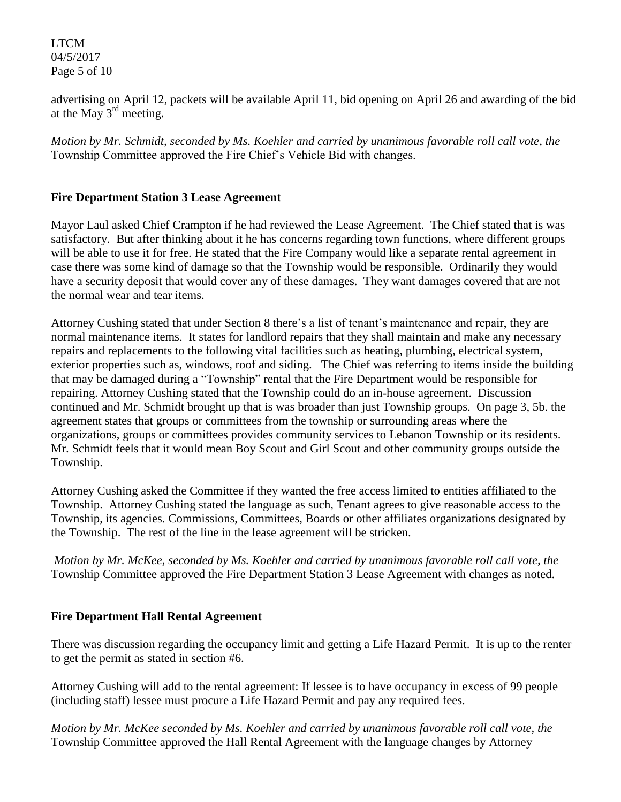LTCM 04/5/2017 Page 5 of 10

advertising on April 12, packets will be available April 11, bid opening on April 26 and awarding of the bid at the May 3rd meeting.

*Motion by Mr. Schmidt, seconded by Ms. Koehler and carried by unanimous favorable roll call vote, the* Township Committee approved the Fire Chief's Vehicle Bid with changes.

## **Fire Department Station 3 Lease Agreement**

Mayor Laul asked Chief Crampton if he had reviewed the Lease Agreement. The Chief stated that is was satisfactory. But after thinking about it he has concerns regarding town functions, where different groups will be able to use it for free. He stated that the Fire Company would like a separate rental agreement in case there was some kind of damage so that the Township would be responsible. Ordinarily they would have a security deposit that would cover any of these damages. They want damages covered that are not the normal wear and tear items.

Attorney Cushing stated that under Section 8 there's a list of tenant's maintenance and repair, they are normal maintenance items. It states for landlord repairs that they shall maintain and make any necessary repairs and replacements to the following vital facilities such as heating, plumbing, electrical system, exterior properties such as, windows, roof and siding. The Chief was referring to items inside the building that may be damaged during a "Township" rental that the Fire Department would be responsible for repairing. Attorney Cushing stated that the Township could do an in-house agreement. Discussion continued and Mr. Schmidt brought up that is was broader than just Township groups. On page 3, 5b. the agreement states that groups or committees from the township or surrounding areas where the organizations, groups or committees provides community services to Lebanon Township or its residents. Mr. Schmidt feels that it would mean Boy Scout and Girl Scout and other community groups outside the Township.

Attorney Cushing asked the Committee if they wanted the free access limited to entities affiliated to the Township. Attorney Cushing stated the language as such, Tenant agrees to give reasonable access to the Township, its agencies. Commissions, Committees, Boards or other affiliates organizations designated by the Township. The rest of the line in the lease agreement will be stricken.

*Motion by Mr. McKee, seconded by Ms. Koehler and carried by unanimous favorable roll call vote, the* Township Committee approved the Fire Department Station 3 Lease Agreement with changes as noted.

## **Fire Department Hall Rental Agreement**

There was discussion regarding the occupancy limit and getting a Life Hazard Permit. It is up to the renter to get the permit as stated in section #6.

Attorney Cushing will add to the rental agreement: If lessee is to have occupancy in excess of 99 people (including staff) lessee must procure a Life Hazard Permit and pay any required fees.

*Motion by Mr. McKee seconded by Ms. Koehler and carried by unanimous favorable roll call vote, the* Township Committee approved the Hall Rental Agreement with the language changes by Attorney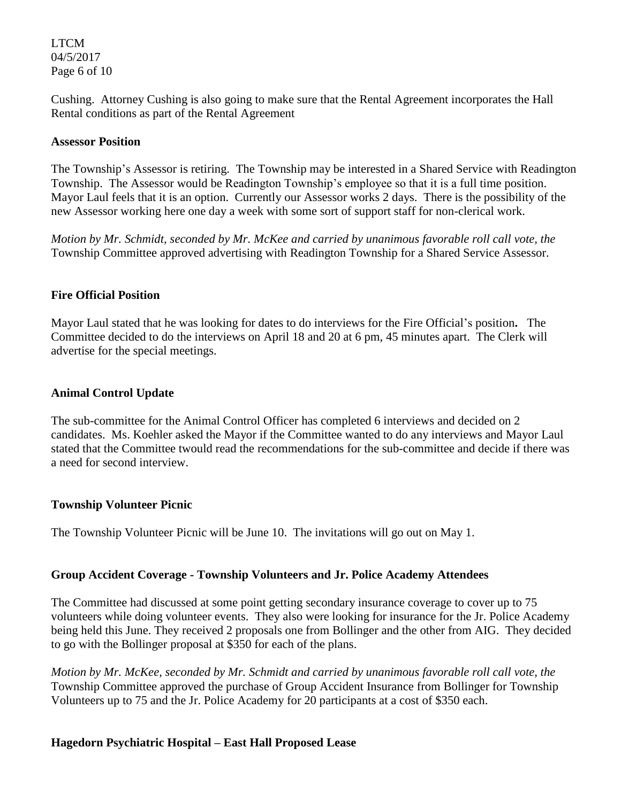LTCM 04/5/2017 Page 6 of 10

Cushing. Attorney Cushing is also going to make sure that the Rental Agreement incorporates the Hall Rental conditions as part of the Rental Agreement

#### **Assessor Position**

The Township's Assessor is retiring. The Township may be interested in a Shared Service with Readington Township. The Assessor would be Readington Township's employee so that it is a full time position. Mayor Laul feels that it is an option. Currently our Assessor works 2 days. There is the possibility of the new Assessor working here one day a week with some sort of support staff for non-clerical work.

*Motion by Mr. Schmidt, seconded by Mr. McKee and carried by unanimous favorable roll call vote, the* Township Committee approved advertising with Readington Township for a Shared Service Assessor.

#### **Fire Official Position**

Mayor Laul stated that he was looking for dates to do interviews for the Fire Official's position**.** The Committee decided to do the interviews on April 18 and 20 at 6 pm, 45 minutes apart. The Clerk will advertise for the special meetings.

#### **Animal Control Update**

The sub-committee for the Animal Control Officer has completed 6 interviews and decided on 2 candidates. Ms. Koehler asked the Mayor if the Committee wanted to do any interviews and Mayor Laul stated that the Committee twould read the recommendations for the sub-committee and decide if there was a need for second interview.

#### **Township Volunteer Picnic**

The Township Volunteer Picnic will be June 10. The invitations will go out on May 1.

#### **Group Accident Coverage - Township Volunteers and Jr. Police Academy Attendees**

The Committee had discussed at some point getting secondary insurance coverage to cover up to 75 volunteers while doing volunteer events. They also were looking for insurance for the Jr. Police Academy being held this June. They received 2 proposals one from Bollinger and the other from AIG. They decided to go with the Bollinger proposal at \$350 for each of the plans.

*Motion by Mr. McKee, seconded by Mr. Schmidt and carried by unanimous favorable roll call vote, the* Township Committee approved the purchase of Group Accident Insurance from Bollinger for Township Volunteers up to 75 and the Jr. Police Academy for 20 participants at a cost of \$350 each.

#### **Hagedorn Psychiatric Hospital – East Hall Proposed Lease**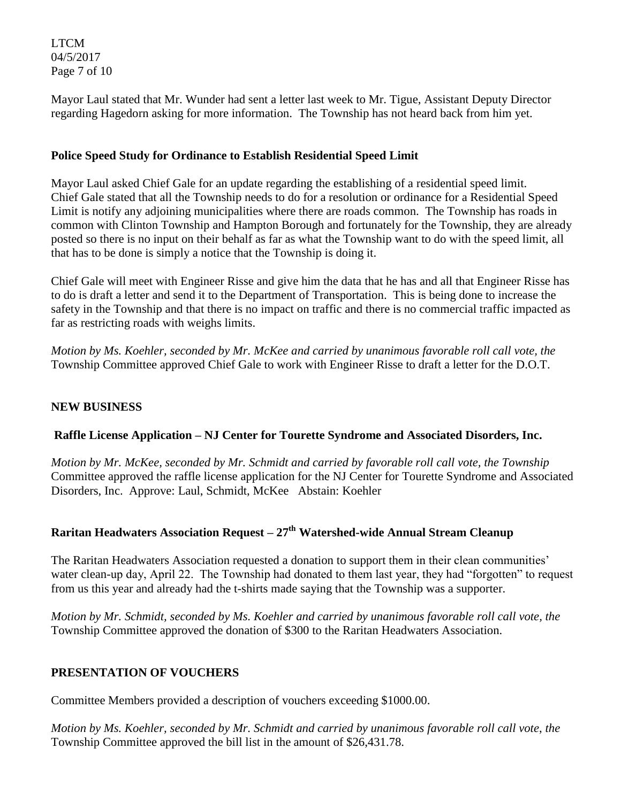LTCM 04/5/2017 Page 7 of 10

Mayor Laul stated that Mr. Wunder had sent a letter last week to Mr. Tigue, Assistant Deputy Director regarding Hagedorn asking for more information. The Township has not heard back from him yet.

#### **Police Speed Study for Ordinance to Establish Residential Speed Limit**

Mayor Laul asked Chief Gale for an update regarding the establishing of a residential speed limit. Chief Gale stated that all the Township needs to do for a resolution or ordinance for a Residential Speed Limit is notify any adjoining municipalities where there are roads common. The Township has roads in common with Clinton Township and Hampton Borough and fortunately for the Township, they are already posted so there is no input on their behalf as far as what the Township want to do with the speed limit, all that has to be done is simply a notice that the Township is doing it.

Chief Gale will meet with Engineer Risse and give him the data that he has and all that Engineer Risse has to do is draft a letter and send it to the Department of Transportation. This is being done to increase the safety in the Township and that there is no impact on traffic and there is no commercial traffic impacted as far as restricting roads with weighs limits.

*Motion by Ms. Koehler, seconded by Mr. McKee and carried by unanimous favorable roll call vote, the* Township Committee approved Chief Gale to work with Engineer Risse to draft a letter for the D.O.T.

## **NEW BUSINESS**

## **Raffle License Application – NJ Center for Tourette Syndrome and Associated Disorders, Inc.**

*Motion by Mr. McKee, seconded by Mr. Schmidt and carried by favorable roll call vote, the Township*  Committee approved the raffle license application for the NJ Center for Tourette Syndrome and Associated Disorders, Inc. Approve: Laul, Schmidt, McKee Abstain: Koehler

# **Raritan Headwaters Association Request – 27th Watershed-wide Annual Stream Cleanup**

The Raritan Headwaters Association requested a donation to support them in their clean communities' water clean-up day, April 22. The Township had donated to them last year, they had "forgotten" to request from us this year and already had the t-shirts made saying that the Township was a supporter.

*Motion by Mr. Schmidt, seconded by Ms. Koehler and carried by unanimous favorable roll call vote, the* Township Committee approved the donation of \$300 to the Raritan Headwaters Association.

## **PRESENTATION OF VOUCHERS**

Committee Members provided a description of vouchers exceeding \$1000.00.

*Motion by Ms. Koehler, seconded by Mr. Schmidt and carried by unanimous favorable roll call vote*, *the*  Township Committee approved the bill list in the amount of \$26,431.78.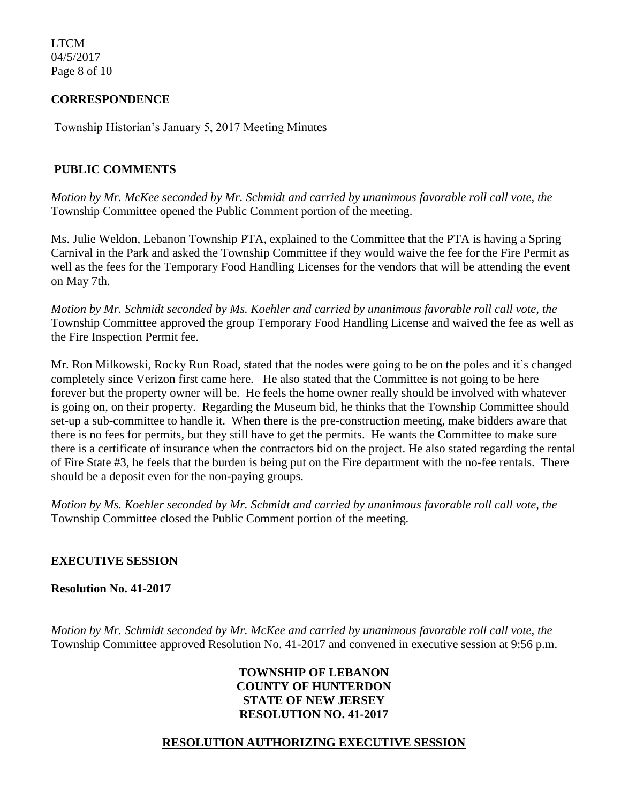LTCM 04/5/2017 Page 8 of 10

#### **CORRESPONDENCE**

Township Historian's January 5, 2017 Meeting Minutes

#### **PUBLIC COMMENTS**

*Motion by Mr. McKee seconded by Mr. Schmidt and carried by unanimous favorable roll call vote, the*  Township Committee opened the Public Comment portion of the meeting.

Ms. Julie Weldon, Lebanon Township PTA, explained to the Committee that the PTA is having a Spring Carnival in the Park and asked the Township Committee if they would waive the fee for the Fire Permit as well as the fees for the Temporary Food Handling Licenses for the vendors that will be attending the event on May 7th.

*Motion by Mr. Schmidt seconded by Ms. Koehler and carried by unanimous favorable roll call vote, the*  Township Committee approved the group Temporary Food Handling License and waived the fee as well as the Fire Inspection Permit fee.

Mr. Ron Milkowski, Rocky Run Road, stated that the nodes were going to be on the poles and it's changed completely since Verizon first came here. He also stated that the Committee is not going to be here forever but the property owner will be. He feels the home owner really should be involved with whatever is going on, on their property. Regarding the Museum bid, he thinks that the Township Committee should set-up a sub-committee to handle it. When there is the pre-construction meeting, make bidders aware that there is no fees for permits, but they still have to get the permits. He wants the Committee to make sure there is a certificate of insurance when the contractors bid on the project. He also stated regarding the rental of Fire State #3, he feels that the burden is being put on the Fire department with the no-fee rentals. There should be a deposit even for the non-paying groups.

*Motion by Ms. Koehler seconded by Mr. Schmidt and carried by unanimous favorable roll call vote, the*  Township Committee closed the Public Comment portion of the meeting.

## **EXECUTIVE SESSION**

**Resolution No. 41-2017**

*Motion by Mr. Schmidt seconded by Mr. McKee and carried by unanimous favorable roll call vote, the* Township Committee approved Resolution No. 41-2017 and convened in executive session at 9:56 p.m.

#### **TOWNSHIP OF LEBANON COUNTY OF HUNTERDON STATE OF NEW JERSEY RESOLUTION NO. 41-2017**

## **RESOLUTION AUTHORIZING EXECUTIVE SESSION**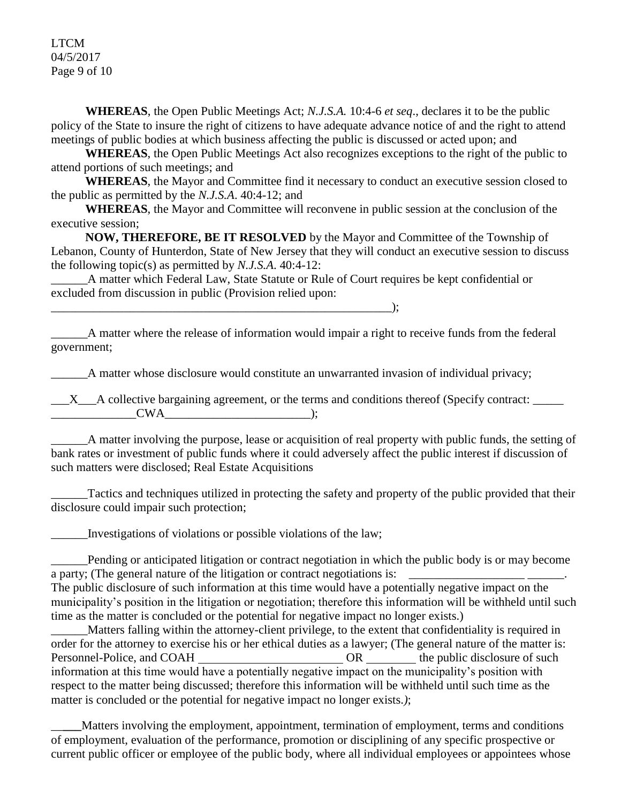LTCM 04/5/2017 Page 9 of 10

**WHEREAS**, the Open Public Meetings Act; *N.J.S.A.* 10:4-6 *et seq*., declares it to be the public policy of the State to insure the right of citizens to have adequate advance notice of and the right to attend meetings of public bodies at which business affecting the public is discussed or acted upon; and

**WHEREAS**, the Open Public Meetings Act also recognizes exceptions to the right of the public to attend portions of such meetings; and

**WHEREAS**, the Mayor and Committee find it necessary to conduct an executive session closed to the public as permitted by the *N.J.S.A*. 40:4-12; and

**WHEREAS**, the Mayor and Committee will reconvene in public session at the conclusion of the executive session;

**NOW, THEREFORE, BE IT RESOLVED** by the Mayor and Committee of the Township of Lebanon, County of Hunterdon, State of New Jersey that they will conduct an executive session to discuss the following topic(s) as permitted by *N.J.S.A*. 40:4-12:

 $\qquad \qquad$  );

\_\_\_\_\_\_A matter which Federal Law, State Statute or Rule of Court requires be kept confidential or excluded from discussion in public (Provision relied upon:

\_\_\_\_\_\_A matter where the release of information would impair a right to receive funds from the federal government;

A matter whose disclosure would constitute an unwarranted invasion of individual privacy;

 $\underline{X}$  A collective bargaining agreement, or the terms and conditions thereof (Specify contract:  $\underline{X}$  $CWA$  );

\_\_\_\_\_\_A matter involving the purpose, lease or acquisition of real property with public funds, the setting of bank rates or investment of public funds where it could adversely affect the public interest if discussion of such matters were disclosed; Real Estate Acquisitions

\_\_\_\_\_\_Tactics and techniques utilized in protecting the safety and property of the public provided that their disclosure could impair such protection;

\_\_\_\_\_\_Investigations of violations or possible violations of the law;

\_\_\_\_\_\_Pending or anticipated litigation or contract negotiation in which the public body is or may become a party; (The general nature of the litigation or contract negotiations is: The public disclosure of such information at this time would have a potentially negative impact on the

municipality's position in the litigation or negotiation; therefore this information will be withheld until such time as the matter is concluded or the potential for negative impact no longer exists.)

\_\_\_\_\_\_Matters falling within the attorney-client privilege, to the extent that confidentiality is required in order for the attorney to exercise his or her ethical duties as a lawyer; (The general nature of the matter is: Personnel-Police, and COAH OR the public disclosure of such  $OR$ information at this time would have a potentially negative impact on the municipality's position with respect to the matter being discussed; therefore this information will be withheld until such time as the matter is concluded or the potential for negative impact no longer exists.*)*;

\_\_**\_\_\_**Matters involving the employment, appointment, termination of employment, terms and conditions of employment, evaluation of the performance, promotion or disciplining of any specific prospective or current public officer or employee of the public body, where all individual employees or appointees whose